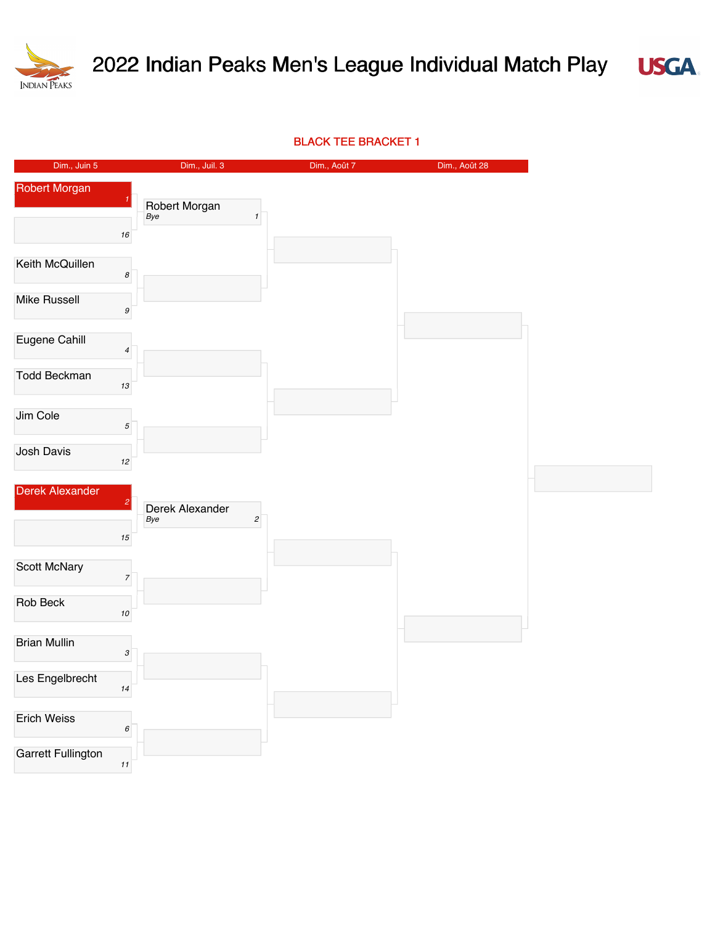



BLACK TEE BRACKET 1

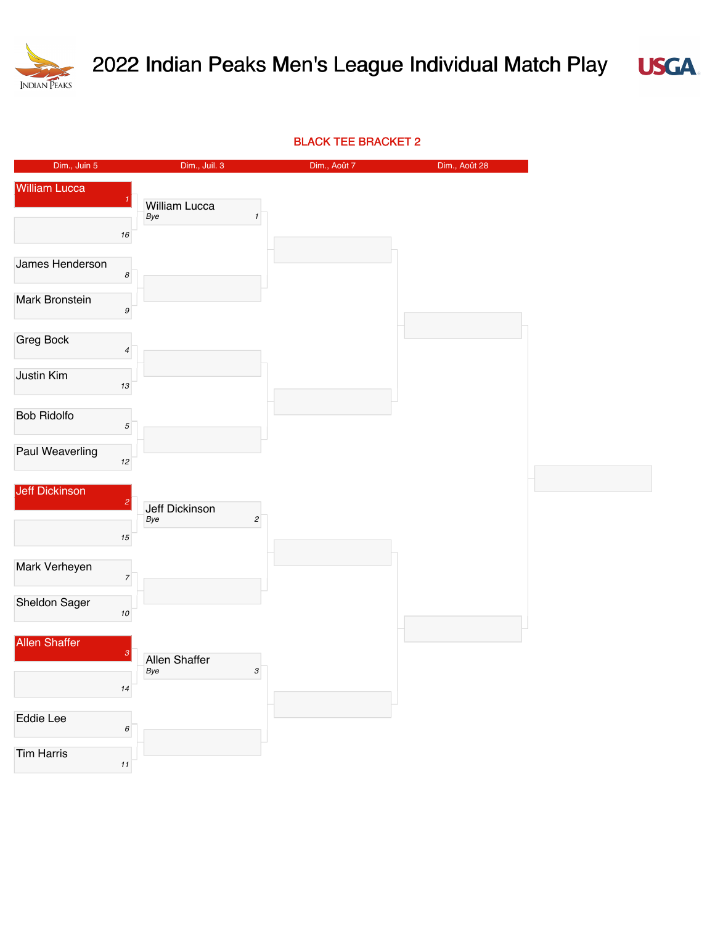



BLACK TEE BRACKET 2

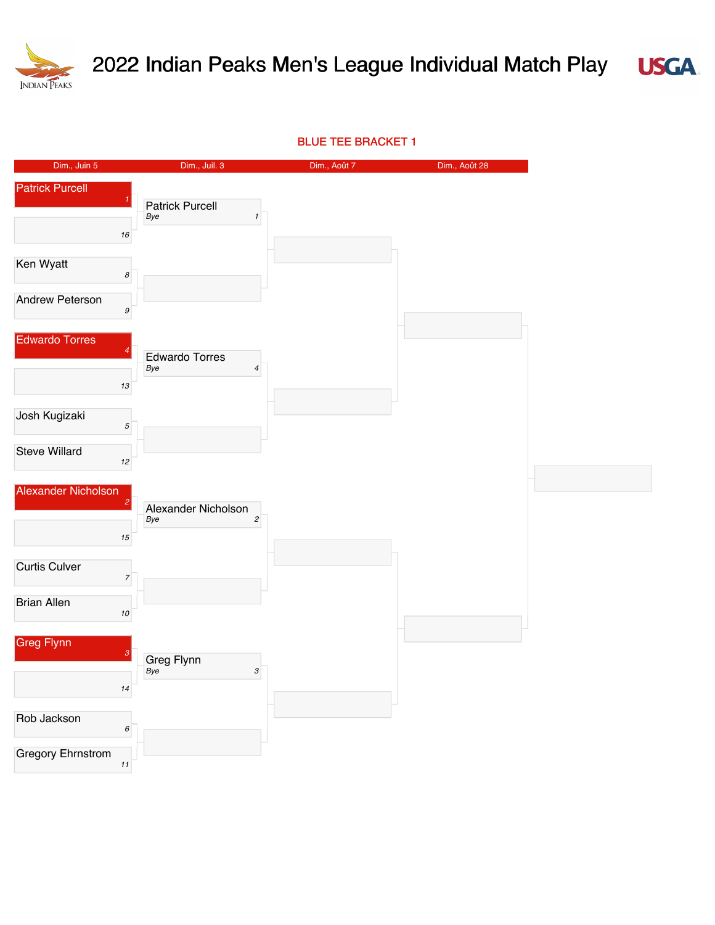



BLUE TEE BRACKET 1

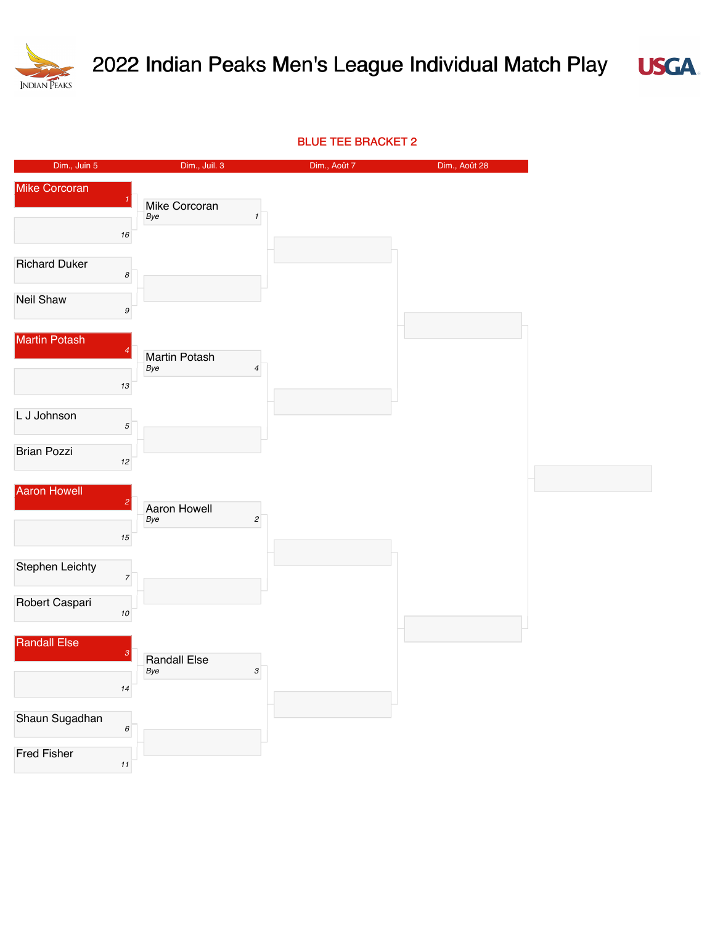

## 2022 Indian Peaks Men's League Individual Match Play



BLUE TEE BRACKET 2

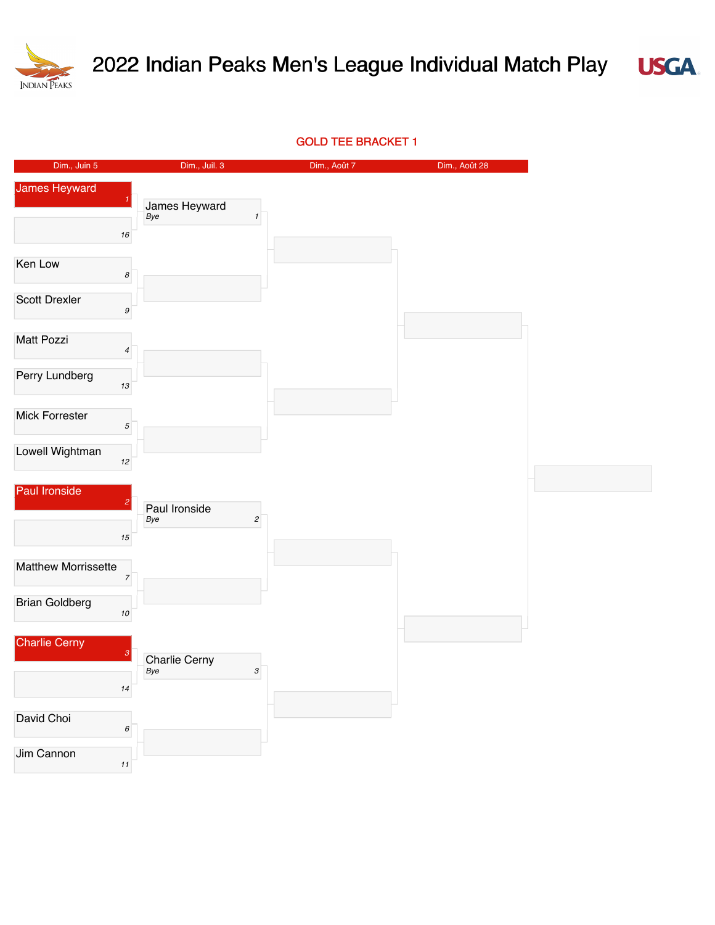

## 2022 Indian Peaks Men's League Individual Match Play



## GOLD TEE BRACKET 1